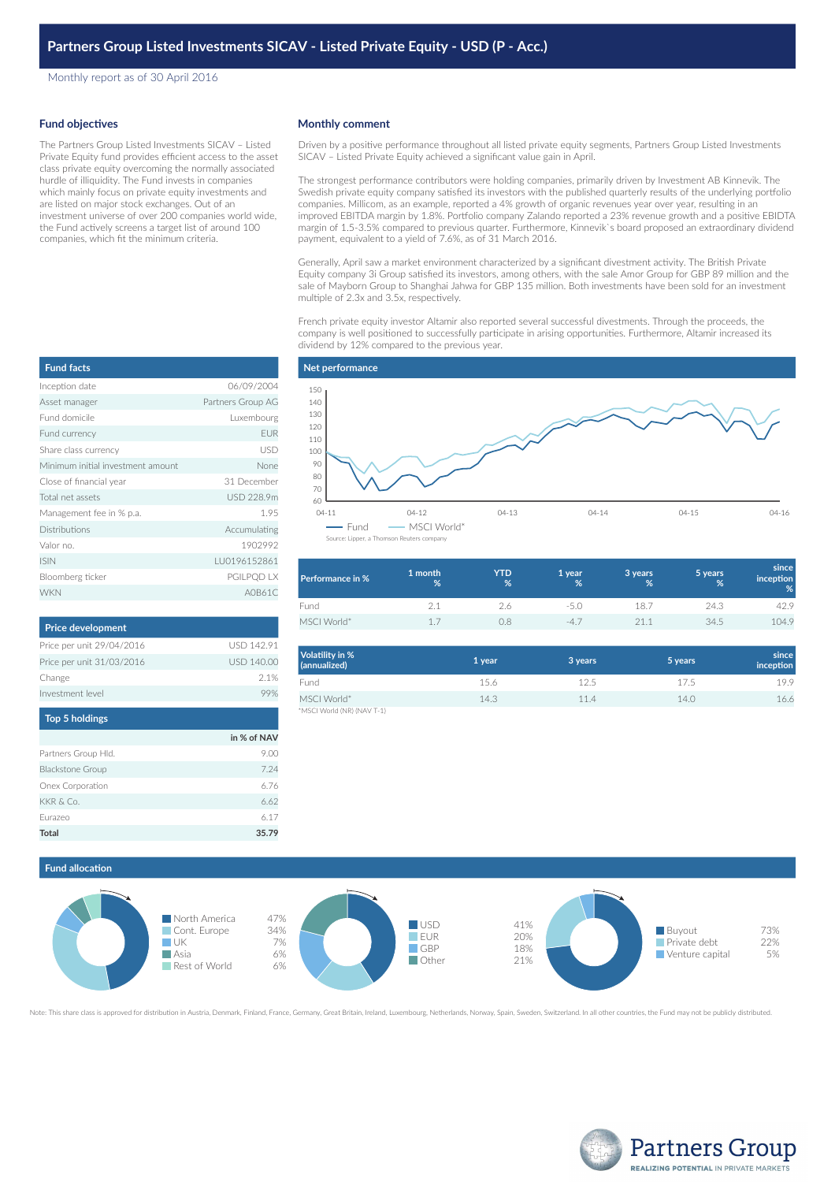Monthly report as of 30 April 2016

#### **Fund objectives**

The Partners Group Listed Investments SICAV – Listed Private Equity fund provides efficient access to the asset class private equity overcoming the normally associated hurdle of illiquidity. The Fund invests in companies which mainly focus on private equity investments and are listed on major stock exchanges. Out of an investment universe of over 200 companies world wide, the Fund actively screens a target list of around 100 companies, which fit the minimum criteria.

## **Monthly comment**

Driven by a positive performance throughout all listed private equity segments, Partners Group Listed Investments SICAV – Listed Private Equity achieved a significant value gain in April.

The strongest performance contributors were holding companies, primarily driven by Investment AB Kinnevik. The Swedish private equity company satisfied its investors with the published quarterly results of the underlying portfolio companies. Millicom, as an example, reported a 4% growth of organic revenues year over year, resulting in an improved EBITDA margin by 1.8%. Portfolio company Zalando reported a 23% revenue growth and a positive EBIDTA margin of 1.5-3.5% compared to previous quarter. Furthermore, Kinnevik`s board proposed an extraordinary dividend payment, equivalent to a yield of 7.6%, as of 31 March 2016.

Generally, April saw a market environment characterized by a significant divestment activity. The British Private Equity company 3i Group satisfied its investors, among others, with the sale Amor Group for GBP 89 million and the sale of Mayborn Group to Shanghai Jahwa for GBP 135 million. Both investments have been sold for an investment multiple of 2.3x and 3.5x, respectively.

French private equity investor Altamir also reported several successful divestments. Through the proceeds, the company is well positioned to successfully participate in arising opportunities. Furthermore, Altamir increased its dividend by 12% compared to the previous year.

| <b>Fund facts</b>                 |                   |
|-----------------------------------|-------------------|
| Inception date                    | 06/09/2004        |
| Asset manager                     | Partners Group AG |
| Fund domicile                     | Luxembourg        |
| Fund currency                     | <b>EUR</b>        |
| Share class currency              | USD               |
| Minimum initial investment amount | None              |
| Close of financial year           | 31 December       |
| Total net assets                  | USD 228.9m        |
| Management fee in % p.a.          | 1.95              |
| <b>Distributions</b>              | Accumulating      |
| Valor no.                         | 1902992           |
| <b>ISIN</b>                       | LU0196152861      |
| Bloomberg ticker                  | PGILPQD LX        |
| <b>WKN</b>                        | A0B61C            |

| <b>Price development</b>  |            |
|---------------------------|------------|
| Price per unit 29/04/2016 | USD 142.91 |
| Price per unit 31/03/2016 | USD 140.00 |
| Change                    | 21%        |
| Investment level          |            |
| <b>Ton 5 holdings</b>     |            |

| ___________             |             |
|-------------------------|-------------|
|                         | in % of NAV |
| Partners Group Hld.     | 9.00        |
| <b>Blackstone Group</b> | 7.24        |
| Onex Corporation        | 6.76        |
| KKR & Co.               | 6.62        |
| Furazeo                 | 6.17        |
| Total                   | 35.79       |



| <b>Performance in %</b> | 1 month<br>% | <b>YTD</b><br>% | 1 year<br>% | 3 years<br>% | 5 years<br>% | since<br>inception<br>% |
|-------------------------|--------------|-----------------|-------------|--------------|--------------|-------------------------|
| Fund                    |              |                 | -5.U        | 18.7         | 24.3         | 42.9                    |
| MSCI World*             | $1 -$        | .).8            | -4 -        | 21.1         | 34.5         | 104.9                   |

| Volatility in %<br>(annualized) | 1 year | 3 years | 5 years | since<br>inception |
|---------------------------------|--------|---------|---------|--------------------|
| Fund                            | 15.6   | 12.5    | 17.5    | 19.9               |
| MSCI World*                     | 14.3   | 11.4    | 14.0    | 16.6               |
| *MSCI World (NR) (NAV T-1)      |        |         |         |                    |

## **Fund allocation**



Note: This share class is approved for distribution in Austria, Denmark, Finland, France, Germany, Great Britain, Ireland, Luxembourg, Netherlands, Norway, Spain, Sweden, Switzerland. In all other countries, the Fund may n